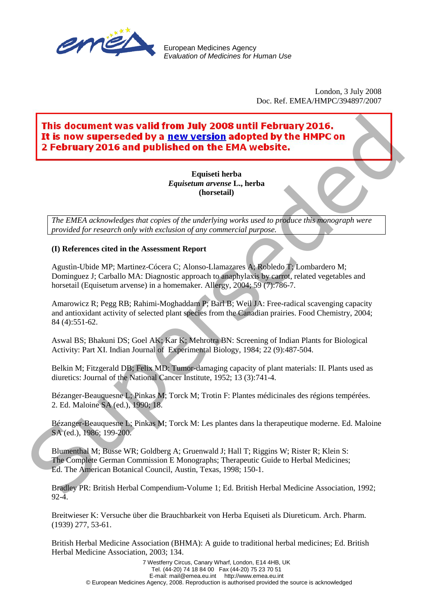

European Medicines Agency *Evaluation of Medicines for Human Use*

> London, 3 July 2008 Doc. Ref. EMEA/HMPC/394897/2007

## It is now superseded by a new version adopted by the HMPC on **LIST OF REFERENCES SUPPORTING THE ASSESSMENT REPORT ON:**  This document was valid from July 2008 until February 2016.<br>
This now superseded by a new version adopted by the HMPCon<br>
2 February 2016 and published on the EMA website.<br>
Figures in the HMPCon<br>
Equivation of any strategi

**Equiseti herba** *Equisetum arvense* **L., herba (horsetail)**

*The EMEA acknowledges that copies of the underlying works used to produce this monograph were provided for research only with exclusion of any commercial purpose.*

## **(I) References cited in the Assessment Report**

Agustìn-Ubide MP; Martinez-Cócera C; Alonso-Llamazares A; Robledo T; Lombardero M; Dominguez J; Carballo MA: Diagnostic approach to anaphylaxis by carrot, related vegetables and horsetail (Equisetum arvense) in a homemaker. Allergy, 2004; 59 (7):786-7.

Amarowicz R; Pegg RB; Rahimi-Moghaddam P; Barl B; Weil JA: Free-radical scavenging capacity and antioxidant activity of selected plant species from the Canadian prairies. Food Chemistry, 2004; 84 (4):551-62.

Aswal BS; Bhakuni DS; Goel AK; Kar K; Mehrotra BN: Screening of Indian Plants for Biological Activity: Part XI. Indian Journal of Experimental Biology, 1984; 22 (9):487-504.

Belkin M; Fitzgerald DB; Felix MD: Tumor-damaging capacity of plant materials: II. Plants used as diuretics: Journal of the National Cancer Institute, 1952; 13 (3):741-4.

Bézanger-Beauquesne L; Pinkas M; Torck M; Trotin F: Plantes médicinales des régions tempérées. 2. Ed. Maloine SA (ed.), 1990; 18.

Bézanger-Beauquesne L; Pinkas M; Torck M: Les plantes dans la therapeutique moderne. Ed. Maloine SA (ed.), 1986; 199-200.

Blumenthal M; Busse WR; Goldberg A; Gruenwald J; Hall T; Riggins W; Rister R; Klein S: The Complete German Commission E Monographs; Therapeutic Guide to Herbal Medicines; Ed. The American Botanical Council, Austin, Texas, 1998; 150-1.

Bradley PR: British Herbal Compendium-Volume 1; Ed. British Herbal Medicine Association, 1992;  $92-4.$ 

Breitwieser K: Versuche über die Brauchbarkeit von Herba Equiseti als Diureticum. Arch. Pharm. (1939) 277, 53-61.

British Herbal Medicine Association (BHMA): A guide to traditional herbal medicines; Ed. British Herbal Medicine Association, 2003; 134.

7 Westferry Circus, Canary Wharf, London, E14 4HB, UK Tel. (44-20) 74 18 84 00 Fax (44-20) 75 23 70 51 E-mail: mail@emea.eu.int http://www.emea.eu.int © European Medicines Agency, 2008. Reproduction is authorised provided the source is acknowledged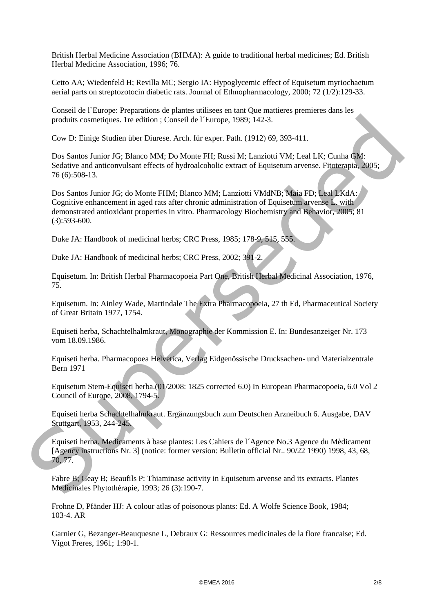British Herbal Medicine Association (BHMA): A guide to traditional herbal medicines; Ed. British Herbal Medicine Association, 1996; 76.

Cetto AA; Wiedenfeld H; Revilla MC; Sergio IA: Hypoglycemic effect of Equisetum myriochaetum aerial parts on streptozotocin diabetic rats. Journal of Ethnopharmacology, 2000; 72 (1/2):129-33.

Conseil de l`Europe: Preparations de plantes utilisees en tant Que mattieres premieres dans les produits cosmetiques. 1re edition ; Conseil de l´Europe, 1989; 142-3.

Cow D: Einige Studien über Diurese. Arch. für exper. Path. (1912) 69, 393-411.

Dos Santos Junior JG; Blanco MM; Do Monte FH; Russi M; Lanziotti VM; Leal LK; Cunha GM: Sedative and anticonvulsant effects of hydroalcoholic extract of Equisetum arvense. Fitoterapia, 2005; 76 (6):508-13.

Dos Santos Junior JG; do Monte FHM; Blanco MM; Lanziotti VMdNB; Maia FD; Leal LKdA: Cognitive enhancement in aged rats after chronic administration of Equisetum arvense L. with demonstrated antioxidant properties in vitro. Pharmacology Biochemistry and Behavior, 2005; 81 (3):593-600. produits cosmetiques. Ire edition ; Conseil de l'Europe, 1989; 142-3.<br>
Cov D: Einige Studien über Diurese. Arch. für expec. Path. (1912) 69, 393-411.<br>
Dos Santos Juniter IG: Blunco MM: Do Monte FH; Russis M. Lauratoti VM;

Duke JA: Handbook of medicinal herbs; CRC Press, 1985; 178-9, 515, 555.

Duke JA: Handbook of medicinal herbs; CRC Press, 2002; 391-2.

Equisetum. In: British Herbal Pharmacopoeia Part One, British Herbal Medicinal Association, 1976, 75.

Equisetum. In: Ainley Wade, Martindale The Extra Pharmacopoeia, 27 th Ed, Pharmaceutical Society of Great Britain 1977, 1754.

Equiseti herba, Schachtelhalmkraut, Monographie der Kommission E. In: Bundesanzeiger Nr. 173 vom 18.09.1986.

Equiseti herba. Pharmacopoea Helvetica, Verlag Eidgenössische Drucksachen- und Materialzentrale Bern 1971

Equisetum Stem-Equiseti herba.(01/2008: 1825 corrected 6.0) In European Pharmacopoeia, 6.0 Vol 2 Council of Europe, 2008, 1794-5.

Equiseti herba Schachtelhalmkraut. Ergänzungsbuch zum Deutschen Arzneibuch 6. Ausgabe, DAV Stuttgart, 1953, 244-245.

Equiseti herba. Medicaments à base plantes: Les Cahiers de l´Agence No.3 Agence du Mèdicament [Agency instructions Nr. 3] (notice: former version: Bulletin official Nr.. 90/22 1990) 1998, 43, 68, 70, 77.

Fabre B; Geay B; Beaufils P: Thiaminase activity in Equisetum arvense and its extracts. Plantes Medicinales Phytothérapie, 1993; 26 (3):190-7.

Frohne D, Pfänder HJ: A colour atlas of poisonous plants: Ed. A Wolfe Science Book, 1984; 103-4. AR

Garnier G, Bezanger-Beauquesne L, Debraux G: Ressources medicinales de la flore francaise; Ed. Vigot Freres, 1961; 1:90-1.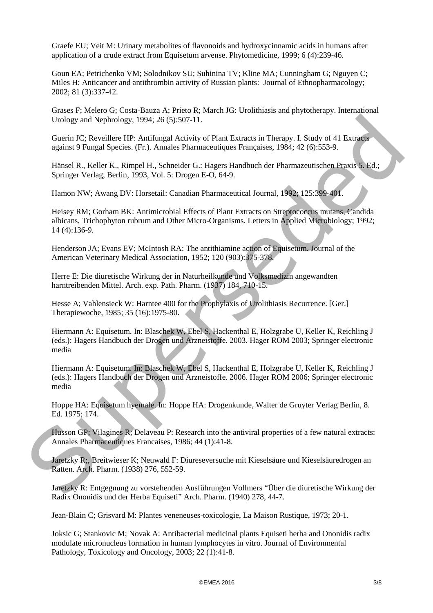Graefe EU; Veit M: Urinary metabolites of flavonoids and hydroxycinnamic acids in humans after application of a crude extract from Equisetum arvense. Phytomedicine, 1999; 6 (4):239-46.

Goun EA; Petrichenko VM; Solodnikov SU; Suhinina TV; Kline MA; Cunningham G; Nguyen C; Miles H: Anticancer and antithrombin activity of Russian plants: Journal of Ethnopharmacology; 2002; 81 (3):337-42.

Grases F; Melero G; Costa-Bauza A; Prieto R; March JG: Urolithiasis and phytotherapy. International Urology and Nephrology, 1994; 26 (5):507-11.

Guerin JC; Reveillere HP: Antifungal Activity of Plant Extracts in Therapy. I. Study of 41 Extracts against 9 Fungal Species. (Fr.). Annales Pharmaceutiques Françaises, 1984; 42 (6):553-9.

Hänsel R., Keller K., Rimpel H., Schneider G.: Hagers Handbuch der Pharmazeutischen Praxis 5. Ed.; Springer Verlag, Berlin, 1993, Vol. 5: Drogen E-O, 64-9.

Hamon NW; Awang DV: Horsetail: Canadian Pharmaceutical Journal, 1992; 125:399-401.

Heisey RM; Gorham BK: Antimicrobial Effects of Plant Extracts on Streptococcus mutans, Candida albicans, Trichophyton rubrum and Other Micro-Organisms. Letters in Applied Microbiology; 1992; 14 (4):136-9.

Henderson JA; Evans EV; McIntosh RA: The antithiamine action of Equisetum. Journal of the American Veterinary Medical Association, 1952; 120 (903):375-378.

Herre E: Die diuretische Wirkung der in Naturheilkunde und Volksmedizin angewandten harntreibenden Mittel. Arch. exp. Path. Pharm. (1937) 184, 710-15.

Hesse A; Vahlensieck W: Harntee 400 for the Prophylaxis of Urolithiasis Recurrence. [Ger.] Therapiewoche, 1985; 35 (16):1975-80.

Hiermann A: Equisetum. In: Blaschek W, Ebel S, Hackenthal E, Holzgrabe U, Keller K, Reichling J (eds.): Hagers Handbuch der Drogen und Arzneistoffe. 2003. Hager ROM 2003; Springer electronic media

Hiermann A: Equisetum. In: Blaschek W, Ebel S, Hackenthal E, Holzgrabe U, Keller K, Reichling J (eds.): Hagers Handbuch der Drogen und Arzneistoffe. 2006. Hager ROM 2006; Springer electronic media Urology and Nephrology. 1994; 26 (5):507-11.<br>
Gorina (E. Research in The Minitogal Activity of Plane Estimates in Therapy. I. Study of 41 Extraction<br>
against 9 Fungal Species. (Fr.). Annalise Functure entires in Therapy. I

Hoppe HA: Equisetum hyemale. In: Hoppe HA: Drogenkunde, Walter de Gruyter Verlag Berlin, 8. Ed. 1975; 174.

Husson GP; Vilagines R; Delaveau P: Research into the antiviral properties of a few natural extracts: Annales Pharmaceutiques Francaises, 1986; 44 (1):41-8.

Jaretzky R;, Breitwieser K; Neuwald F: Diureseversuche mit Kieselsäure und Kieselsäuredrogen an Ratten. Arch. Pharm. (1938) 276, 552-59.

Jaretzky R: Entgegnung zu vorstehenden Ausführungen Vollmers "Über die diuretische Wirkung der Radix Ononidis und der Herba Equiseti" Arch. Pharm. (1940) 278, 44-7.

Jean-Blain C; Grisvard M: Plantes veneneuses-toxicologie, La Maison Rustique, 1973; 20-1.

Joksic G; Stankovic M; Novak A: Antibacterial medicinal plants Equiseti herba and Ononidis radix modulate micronucleus formation in human lymphocytes in vitro. Journal of Environmental Pathology, Toxicology and Oncology, 2003; 22 (1):41-8.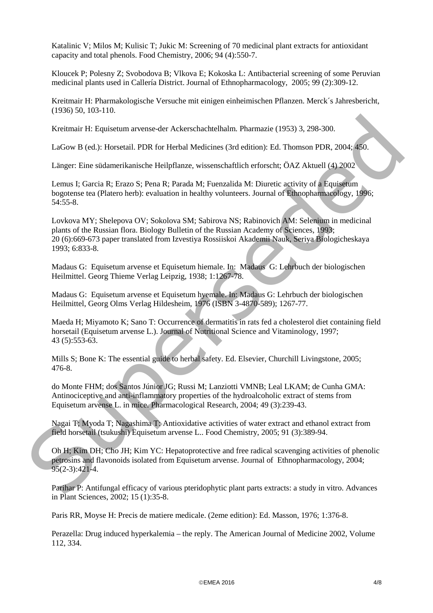Katalinic V; Milos M; Kulisic T; Jukic M: Screening of 70 medicinal plant extracts for antioxidant capacity and total phenols. Food Chemistry, 2006; 94 (4):550-7.

Kloucek P; Polesny Z; Svobodova B; Vlkova E; Kokoska L: Antibacterial screening of some Peruvian medicinal plants used in Callería District. Journal of Ethnopharmacology, 2005; 99 (2):309-12.

Kreitmair H: Pharmakologische Versuche mit einigen einheimischen Pflanzen. Merck´s Jahresbericht, (1936) 50, 103-110.

Kreitmair H: Equisetum arvense-der Ackerschachtelhalm. Pharmazie (1953) 3, 298-300.

LaGow B (ed.): Horsetail. PDR for Herbal Medicines (3rd edition): Ed. Thomson PDR, 2004; 450.

Länger: Eine südamerikanische Heilpflanze, wissenschaftlich erforscht; ÖAZ Aktuell (4) 2002

Lemus I; Garcia R; Erazo S; Pena R; Parada M; Fuenzalida M: Diuretic activity of a Equisetum bogotense tea (Platero herb): evaluation in healthy volunteers. Journal of Ethnopharmacology, 1996; 54:55-8.

Lovkova MY; Shelepova OV; Sokolova SM; Sabirova NS; Rabinovich AM: Selenium in medicinal plants of the Russian flora. Biology Bulletin of the Russian Academy of Sciences, 1993; 20 (6):669-673 paper translated from Izvestiya Rossiiskoi Akademii Nauk, Seriya Biologicheskaya 1993; 6:833-8. Kreitmair H: Equiseum are<br>mscder Ackenedachellalm. Pharmaric (1953) 3, 298-300.<br>LaGow B (ed.): Honetail. FDR for Herbal Medicines (Ard edition): Ed. Thomson PDR, 2004-480.<br>Langer: Eine sudamerikanische Heilpflarre, wissen

Madaus G: Equisetum arvense et Equisetum hiemale. In: Madaus G: Lehrbuch der biologischen Heilmittel. Georg Thieme Verlag Leipzig, 1938; 1:1267-78.

Madaus G: Equisetum arvense et Equisetum hyemale. In: Madaus G: Lehrbuch der biologischen Heilmittel, Georg Olms Verlag Hildesheim, 1976 (ISBN 3-4870-589); 1267-77.

Maeda H; Miyamoto K; Sano T: Occurrence of dermatitis in rats fed a cholesterol diet containing field horsetail (Equisetum arvense L.). Journal of Nutritional Science and Vitaminology, 1997; 43 (5):553-63.

Mills S; Bone K: The essential guide to herbal safety. Ed. Elsevier, Churchill Livingstone, 2005; 476-8.

do Monte FHM; dos Santos Júnior JG; Russi M; Lanziotti VMNB; Leal LKAM; de Cunha GMA: Antinociceptive and anti-inflammatory properties of the hydroalcoholic extract of stems from Equisetum arvense L. in mice. Pharmacological Research, 2004; 49 (3):239-43.

Nagai T; Myoda T; Nagashima T: Antioxidative activities of water extract and ethanol extract from field horsetail (tsukushi) Equisetum arvense L.. Food Chemistry, 2005; 91 (3):389-94.

Oh H; Kim DH; Cho JH; Kim YC: Hepatoprotective and free radical scavenging activities of phenolic petrosins and flavonoids isolated from Equisetum arvense. Journal of Ethnopharmacology, 2004; 95(2-3):421-4.

Parihar P: Antifungal efficacy of various pteridophytic plant parts extracts: a study in vitro. Advances in Plant Sciences, 2002; 15 (1):35-8.

Paris RR, Moyse H: Precis de matiere medicale. (2eme edition): Ed. Masson, 1976; 1:376-8.

Perazella: Drug induced hyperkalemia – the reply. The American Journal of Medicine 2002, Volume 112, 334.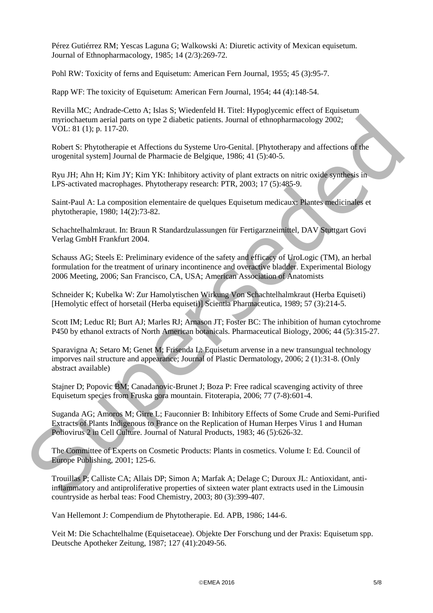Pérez Gutiérrez RM; Yescas Laguna G; Walkowski A: Diuretic activity of Mexican equisetum. Journal of Ethnopharmacology, 1985; 14 (2/3):269-72.

Pohl RW: Toxicity of ferns and Equisetum: American Fern Journal, 1955; 45 (3):95-7.

Rapp WF: The toxicity of Equisetum: American Fern Journal, 1954; 44 (4):148-54.

Revilla MC; Andrade-Cetto A; Islas S; Wiedenfeld H. Titel: Hypoglycemic effect of Equisetum myriochaetum aerial parts on type 2 diabetic patients. Journal of ethnopharmacology 2002; VOL: 81 (1); p. 117-20.

Robert S: Phytotherapie et Affections du Systeme Uro-Genital. [Phytotherapy and affections of the urogenital system] Journal de Pharmacie de Belgique, 1986; 41 (5):40-5.

Ryu JH; Ahn H; Kim JY; Kim YK: Inhibitory activity of plant extracts on nitric oxide synthesis in LPS-activated macrophages. Phytotherapy research: PTR, 2003; 17 (5):485-9.

Saint-Paul A: La composition elementaire de quelques Equisetum medicaux: Plantes medicinales et phytotherapie, 1980; 14(2):73-82.

Schachtelhalmkraut. In: Braun R Standardzulassungen für Fertigarzneimittel, DAV Stuttgart Govi Verlag GmbH Frankfurt 2004.

Schauss AG; Steels E: Preliminary evidence of the safety and efficacy of UroLogic (TM), an herbal formulation for the treatment of urinary incontinence and overactive bladder. Experimental Biology 2006 Meeting, 2006; San Francisco, CA, USA; American Association of Anatomists mytiocherum serial parto an type 2 diabetic patients. Journal of ethnopharmacology 2002;<br>
VOL. 81 (1); p. 117-20.<br>
Robert S: Phytotherapie et Affections du Systeme Uev-Genital. [Phytotherapy and affections of the<br>
urogenti

Schneider K; Kubelka W: Zur Hamolytischen Wirkung Von Schachtelhalmkraut (Herba Equiseti) [Hemolytic effect of horsetail (Herba equiseti)] Scientia Pharmaceutica, 1989; 57 (3):214-5.

Scott IM; Leduc RI; Burt AJ; Marles RJ; Arnason JT; Foster BC: The inhibition of human cytochrome P450 by ethanol extracts of North American botanicals. Pharmaceutical Biology, 2006; 44 (5):315-27.

Sparavigna A; Setaro M; Genet M; Frisenda L: Equisetum arvense in a new transungual technology imporves nail structure and appearance; Journal of Plastic Dermatology, 2006; 2 (1):31-8. (Only abstract available)

Stajner D; Popovic BM; Canadanovic-Brunet J; Boza P: Free radical scavenging activity of three Equisetum species from Fruska gora mountain. Fitoterapia, 2006; 77 (7-8):601-4.

Suganda AG; Amoros M; Girre L; Fauconnier B: Inhibitory Effects of Some Crude and Semi-Purified Extracts of Plants Indigenous to France on the Replication of Human Herpes Virus 1 and Human Poliovirus 2 in Cell Culture. Journal of Natural Products, 1983; 46 (5):626-32.

The Committee of Experts on Cosmetic Products: Plants in cosmetics. Volume I: Ed. Council of Europe Publishing, 2001; 125-6.

Trouillas P; Calliste CA; Allais DP; Simon A; Marfak A; Delage C; Duroux JL: Antioxidant, antiinflammatory and antiproliferative properties of sixteen water plant extracts used in the Limousin countryside as herbal teas: Food Chemistry, 2003; 80 (3):399-407.

Van Hellemont J: Compendium de Phytotherapie. Ed. APB, 1986; 144-6.

Veit M: Die Schachtelhalme (Equisetaceae). Objekte Der Forschung und der Praxis: Equisetum spp. Deutsche Apotheker Zeitung, 1987; 127 (41):2049-56.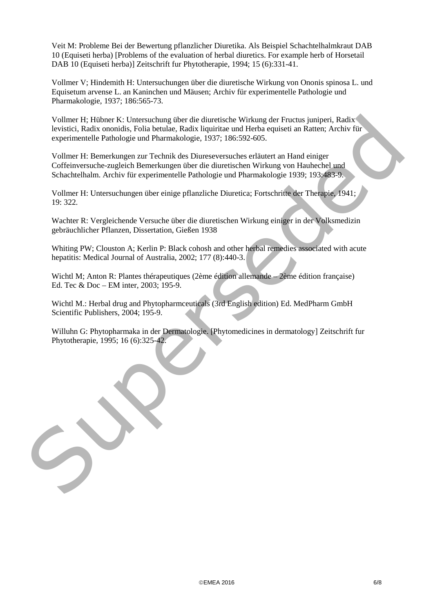Veit M: Probleme Bei der Bewertung pflanzlicher Diuretika. Als Beispiel Schachtelhalmkraut DAB 10 (Equiseti herba) [Problems of the evaluation of herbal diuretics. For example herb of Horsetail DAB 10 (Equiseti herba)] Zeitschrift fur Phytotherapie, 1994; 15 (6):331-41.

Vollmer V; Hindemith H: Untersuchungen über die diuretische Wirkung von Ononis spinosa L. und Equisetum arvense L. an Kaninchen und Mäusen; Archiv für experimentelle Pathologie und Pharmakologie, 1937; 186:565-73.

Vollmer H; Hübner K: Untersuchung über die diuretische Wirkung der Fructus juniperi, Radix levistici, Radix ononidis, Folia betulae, Radix liquiritae und Herba equiseti an Ratten; Archiv für experimentelle Pathologie und Pharmakologie, 1937; 186:592-605. Voltmer H. Hüberse K. Untersuchung über die dituresiesele Wirkung der Friettes junifiert, Radix nomisis, Folia betulae, Radix fuquitine und Herbu equised an Ratine, Archiv für<br>experimentelle Pathologie und Phemakologie, 19

Vollmer H: Bemerkungen zur Technik des Diureseversuches erläutert an Hand einiger Coffeinversuche-zugleich Bemerkungen über die diuretischen Wirkung von Hauhechel und Schachtelhalm. Archiv für experimentelle Pathologie und Pharmakologie 1939; 193:483-9.

Vollmer H: Untersuchungen über einige pflanzliche Diuretica; Fortschritte der Therapie, 1941; 19: 322.

Wachter R: Vergleichende Versuche über die diuretischen Wirkung einiger in der Volksmedizin gebräuchlicher Pflanzen, Dissertation, Gießen 1938

Whiting PW; Clouston A; Kerlin P: Black cohosh and other herbal remedies associated with acute hepatitis: Medical Journal of Australia, 2002; 177 (8):440-3.

Wichtl M; Anton R: Plantes thérapeutiques (2ème édition allemande – 2ème édition française) Ed. Tec & Doc – EM inter, 2003; 195-9.

Wichtl M.: Herbal drug and Phytopharmceuticals (3rd English edition) Ed. MedPharm GmbH Scientific Publishers, 2004; 195-9.

Willuhn G: Phytopharmaka in der Dermatologie. [Phytomedicines in dermatology] Zeitschrift fur Phytotherapie, 1995; 16 (6):325-42.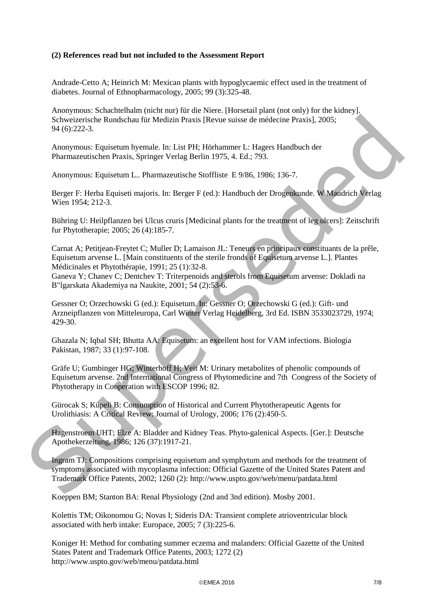## **(2) References read but not included to the Assessment Report**

Andrade-Cetto A; Heinrich M: Mexican plants with hypoglycaemic effect used in the treatment of diabetes. Journal of Ethnopharmacology, 2005; 99 (3):325-48.

Anonymous: Schachtelhalm (nicht nur) für die Niere. [Horsetail plant (not only) for the kidney]. Schweizerische Rundschau für Medizin Praxis [Revue suisse de médecine Praxis], 2005; 94 (6):222-3.

Anonymous: Equisetum hyemale. In: List PH; Hörhammer L: Hagers Handbuch der Pharmazeutischen Praxis, Springer Verlag Berlin 1975, 4. Ed.; 793.

Anonymous: Equisetum L.. Pharmazeutische Stoffliste E 9/86, 1986; 136-7.

Berger F: Herba Equiseti majoris. In: Berger F (ed.): Handbuch der Drogenkunde. W Maudrich Verlag Wien 1954; 212-3.

Bühring U: Heilpflanzen bei Ulcus cruris [Medicinal plants for the treatment of leg ulcers]: Zeitschrift fur Phytotherapie; 2005; 26 (4):185-7.

Carnat A; Petitjean-Freytet C; Muller D; Lamaison JL: Teneurs en principaux constituants de la prêle, Equisetum arvense L. [Main constituents of the sterile fronds of Equisetum arvense L.]. Plantes Médicinales et Phytothérapie, 1991; 25 (1):32-8. Schweizerische Rundschur für Medizin Praxis [Revue suisse de médecine Praxis], 2005;<br>
94 (6):222-3.<br>
Anonymous: Equisetum hyemale, In: List PII; Hörhammer L: Hages Hundous der<br>
Pharmaceutischen Praxis. Springer Verlag Ber

Ganeva Y; Chanev C; Dentchev T: Triterpenoids and sterols from Equisetum arvense: Dokladi na B"lgarskata Akademiya na Naukite, 2001; 54 (2):53-6.

Gessner O; Orzechowski G (ed.): Equisetum. In: Gessner O; Orzechowski G (ed.): Gift- und Arzneipflanzen von Mitteleuropa, Carl Winter Verlag Heidelberg, 3rd Ed. ISBN 3533023729, 1974; 429-30.

Ghazala N; Iqbal SH; Bhutta AA: Equisetum: an excellent host for VAM infections. Biologia Pakistan, 1987; 33 (1):97-108.

Gräfe U; Gumbinger HG; Winterhoff H; Veit M: Urinary metabolites of phenolic compounds of Equisetum arvense. 2nd International Congress of Phytomedicine and 7th Congress of the Society of Phytotherapy in Cooperation with ESCOP 1996; 82.

Gürocak S; Küpeli B: Consumption of Historical and Current Phytotherapeutic Agents for Urolithiasis: A Critical Review: Journal of Urology, 2006; 176 (2):450-5.

Hagenstroem UHT; Elze A: Bladder and Kidney Teas. Phyto-galenical Aspects. [Ger.]: Deutsche Apothekerzeitung, 1986; 126 (37):1917-21.

Ingram TJ: Compositions comprising equisetum and symphytum and methods for the treatment of symptoms associated with mycoplasma infection: Official Gazette of the United States Patent and Trademark Office Patents, 2002; 1260 (2): http://www.uspto.gov/web/menu/patdata.html

Koeppen BM; Stanton BA: Renal Physiology (2nd and 3nd edition). Mosby 2001.

Kolettis TM; Oikonomou G; Novas I; Sideris DA: Transient complete atrioventricular block associated with herb intake: Europace, 2005; 7 (3):225-6.

Koniger H: Method for combating summer eczema and malanders: Official Gazette of the United States Patent and Trademark Office Patents, 2003; 1272 (2) <http://www.uspto.gov/web/menu/patdata.html>